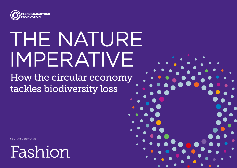

# THE NATURE IMPERATIVE

How the circular economy tackles biodiversity loss

SECTOR DEEP-DIVE



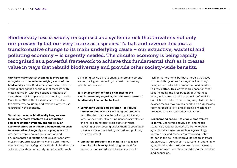Biodiversity loss is widely recognised as a systemic risk that threatens not only our prosperity but our very future as a species. To halt and reverse this loss, a transformative change to its main underlying cause – our extractive, wasteful and polluting economy – is urgently needed. The circular economy is being rapidly recognised as a powerful framework to achieve this fundamental shift as it creates value in ways that rebuild biodiversity and provide other society-wide benefits.

**Our 'take-make-waste' economy is increasingly recognised as the main underlying cause of the biodiversity crisis.** Biodiversity has risen to the top of the global agenda as the planet faces its sixth mass extinction, with projections of the loss of more than a million species in the coming decade. More than 90% of this biodiversity loss is due to the extractive, polluting, and wasteful way we use resources in the economy.

**To halt and reverse biodiversity loss, we need to fundamentally transform our production and consumption systems, and the circular economy offers an actionable framework for such transformative change.** By decoupling economic prosperity from resource consumption and environmental degradation, the circular economy presents opportunities for new and better growth that not only help safeguard and rebuild biodiversity, but also provide other society-wide benefits, such

as helping tackle climate change, improving air and water quality, and reducing the cost of accessing goods and services.

**It is by applying the three principles of the circular economy together, that the root causes of biodiversity loss can be tackled:** 

- **• Eliminating waste and pollution to reduce threats to biodiversity.** Designing out problems from the start is crucial to reducing biodiversity loss. For example, eliminating unnecessary plastics and re-designing plastic products for reuse, recycling or composting allows them to circulate in the economy without being wasted and polluting the environment.
- **• Circulating products and materials to leave room for biodiversity.** Reducing demand for natural resources reduces biodiversity loss. In

fashion, for example, business models that keep cotton clothing in use for longer will, all things being equal, reduce the amount of land needed to grow cotton. This leaves more space for other uses including the preservation of wilderness areas, which are crucial to the health of wildlife populations. In electronics, using recycled metals in devices means fewer mines need to be dug, leaving room for biodiversity, and avoiding emissions of greenhouse gases and other pollutants.

**• Regenerating nature – to enable biodiversity to thrive.** Economic activity can, and needs to, actively rebuild biodiversity. Regenerative agricultural approaches such as agroecology, agroforestry, and managed grazing sequester carbon in the soil and improve its health, increase biodiversity in surrounding ecosystems, and enable agricultural lands to remain productive instead of degrading over time, thereby reducing the need for land expansion..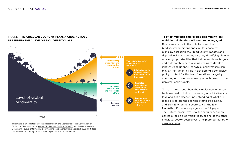

## FIGURE 1 **THE CIRCULAR ECONOMY PLAYS A CRUCIAL ROLE IN BENDING THE CURVE ON BIODIVERSITY LOSS**

I This image is an adaptation of that presented by the Secretariat of the Convention on Biological Diversity's report [Global Biodiversity Outlook 5 \(2020\)](https://www.cbd.int/gbo/gbo5/publication/gbo-5-en.pdf) and the Nature article [Bending the curve of terrestrial biodiversity needs an integrated approach](https://www.nature.com/articles/s41586-020-2705-y?proof=thttps%3A%2F%2Fwww.nature.com%2Farticles%2Fsj.bdj.2014.353%3Fproof%3Dt) (2020). It does not intend to accurately represent the impact of potential scenarios.

## **To effectively halt and reverse biodiversity loss, multiple stakeholders will need to be engaged.**

Businesses can join the dots between their biodiversity ambitions and circular economy plans, by assessing their biodiversity impacts and dependencies and setting targets, identifying circular economy opportunities that help meet those targets, and collaborating across value chains to develop innovative solutions. Meanwhile, policymakers can play an instrumental role in developing a conducive policy context for this transformative change by adopting a circular economy approach based on five universal policy goals.

To learn more about how the circular economy can be harnessed to halt and reverse global biodiversity loss, and get a deeper understanding of what this looks like across the Fashion, Plastic Packaging, and Built Environment sectors, visit the Ellen MacArthur Foundation page for the full paper [The Nature Imperative: How the circular economy](https://emf.thirdlight.com/link/bqgxl2mlprld-v7i2m6/@/preview/1?o)  [can help tackle biodiversity loss](https://emf.thirdlight.com/link/bqgxl2mlprld-v7i2m6/@/preview/1?o), or one of the [other](https://ellenmacarthurfoundation.org/biodiversity-report)  [individual sector deep-dives,](https://ellenmacarthurfoundation.org/biodiversity-report) or explore our [library of](https://ellenmacarthurfoundation.org/topics/biodiversity/circular-examples)  [case examples.](https://ellenmacarthurfoundation.org/topics/biodiversity/circular-examples)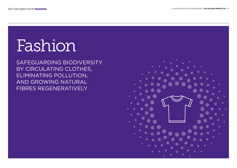# Fashion

SAFEGUARDING BIODIVERSITY BY CIRCULATING CLOTHES, ELIMINATING POLLUTION, AND GROWING NATURAL FIBRES REGENERATIVELY

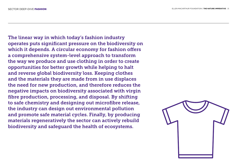The linear way in which today's fashion industry operates puts significant pressure on the biodiversity on which it depends. A circular economy for fashion offers a comprehensive system-level approach to transform the way we produce and use clothing in order to create opportunities for better growth while helping to halt and reverse global biodiversity loss. Keeping clothes and the materials they are made from in use displaces the need for new production, and therefore reduces the negative impacts on biodiversity associated with virgin fibre production, processing, and disposal. By shifting to safe chemistry and designing out microfibre release, the industry can design out environmental pollution and promote safe material cycles. Finally, by producing materials regeneratively the sector can actively rebuild biodiversity and safeguard the health of ecosystems.

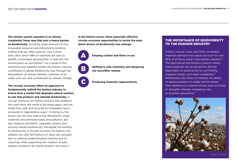**The textiles system operates in an almost completely linear way that puts a heavy burden on biodiversity.** Currently, large amounts of nonrenewable resources are extracted to produce clothes that are often used for only a short time, after which 99% of materials are sent to landfill, incinerated, downcycled, or leak into the environment as microfibres.16 As a result of this extractive and wasteful model, the fashion industry contributes to global biodiversity loss through the degradation of natural habitats; pollution of air, water, and soil; and contribution to climate change.

## **The circular economy offers an approach to fundamentally rethink the fashion industry to evolve from a model that degrades natural systems to one that protects and rebuilds biodiversity.** A

circular economy for fashion ensures that products are used more, are made to be made again, and are made from safe and recycled or renewable inputs produced in regenerative ways.17 In doing so, the sector can not only reduce the demand for virgin materials and eliminate waste and pollution, but also improve soil health, sequester carbon, and actively rebuild biodiversity. Alongside the benefits to biodiversity, a circular economy for fashion can address the USD 500 billions of value lost annually due to clothing underutilisation and the lack of recycling, while supporting the creation of safe, healthy conditions for textile workers and users.<sup>18</sup>

**In the fashion sector, three especially effective circular economy opportunities to tackle the main direct drivers of biodiversity loss emerge:**



C

**Keeping clothes and fibres in use** 

**Shifting to safe chemistry and designing out microfibre release** 

**Producing materials regeneratively**

## THE IMPORTANCE OF BIODIVERSITY TO THE FASHION INDUSTRY

Cotton, viscose, wool, and other renewable materials derived from nature account for over 36% of all fibres used in the textiles industry.<sup>19</sup> The agricultural and forestry systems where these materials are produced are directly dependent on biodiversity for soil fertility, organism health, and water availability.20 Biodiversity also helps to enhance the ability of agroecosystems to adapt and increases their resilience to external shocks such as floods or droughts, thereby mitigating risks to business operations.21

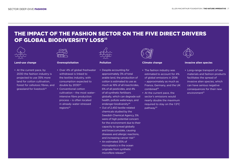# THE IMPACT OF THE FASHION SECTOR ON THE FIVE DIRECT DRIVERS OF GLOBAL BIODIVERSITY LOSS<sup>22</sup>



### **Land-use change**

• At the current pace, by 2030 the fashion industry is projected to use 35% more land for cotton cultivation, forest for cellulosic fibres, and grassland for livestock<sup>23</sup>



## **Overexploitation**

- Over 4% of global freshwater withdrawal is linked to the textiles industry, with consumption expected to double by 2030<sup>24</sup>
- Conventional cotton cultivation – the most waterintensive fibre production process – is often located in already water-stressed regions<sup>25</sup>



**Pollution**

- Despite accounting for approximately 3% of total arable land, the production of cotton is estimated to use as much as 16% of all insecticides, 6% of all pesticides, and 4% of all synthetic fertilisers globally, which can degrade soil health, pollute waterways, and endanger biodiversity26
- Out of 2,450 textile-related chemicals studied by the Swedish Chemical Agency, 5% were of high potential concern for the environment due to their capacity to spread globally and bioaccumulate, causing diseases and allergic reactions, and increasing cancer risk<sup>27</sup>
- An estimated 35% of microplastics in the ocean originate from synthetic microfibre release<sup>28</sup>



### **Climate change**

- The fashion industry was estimated to account for 4% of global emissions in 2018 – approximately as much as France, Germany, and the UK combined29
- At the current pace, the sector's emissions would nearly double the maximum required to stay on the 1.5ºC pathway30



## **Invasive alien species**

• Long-range transport of raw materials and fashion products facilitates the spread of invasive alien species, which can have serious negative consequences for their new environment<sup>31</sup>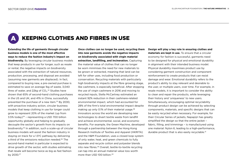# **KEEPING CLOTHES AND FIBRES IN USE**

**Extending the life of garments through circular business models is one of the most effective ways to reduce the fashion industry's impact on biodiversity.** By leveraging circular business models that keep products in use for longer, such as resale or rental, the negative impacts on biodiversity associated with the extraction of natural resources, production, processing, and disposal are avoided (assuming new garments are displaced). In fact, compared to buying new, a pre-owned purchase is estimated to save on average 1kg of waste, 3,040 litres of water, and 22kg of  $CO<sub>2</sub>$ .<sup>32</sup> Studies have shown that 65% of second-hand clothing purchases in the US and UK, and 41% in China, successfully prevented the purchase of a new item.33 By 2030, with proactive industry action, circular business models that keep clothing in use for longer could grow to represent 20% of the market (up from  $3.5\%$  today) $34$  - representing a USD 700 billion opportunity globally and helping to gradually decouple the sector's growth from its impacts on biodiversity.35 In addition, such a scale-up of circular business models will assist the fashion industry in staying on track for a 1.5ºC pathway by delivering a third of the emissions reduction needed.<sup>36</sup> The second-hand market in particular is expected to drive growth of the sector, with studies estimating that resale will become twice as big as fast fashion by 2030.37

**Once clothes can no longer be used, recycling them into new garments avoids the negative impacts on biodiversity associated with virgin material extraction, landfilling, and incineration.** Capturing the material value of clothes that can no longer be worn minimises the need for new materials to be grown or extracted, meaning that land can be left for other uses, including food production or conservation. Recycling materials with particularly high biodiversity impacts at the fibre growing stage, like cashmere, is especially beneficial. After stopping the use of virgin cashmere in 2016 and moving to recycled inputs, Stella McCartney estimated an instant 92% reduction in their cashmere-related environmental impact, which had accounted for 28% of the firm's total environmental impact despite making up only 0.1% of their material usage.<sup>38</sup> Innovators across the world are developing new technologies to divert textile waste from landfill and achieve environmental, social, and economic benefits. For example, the Green Machine, developed through a partnership between the Hong Kong Research Institute of Textiles and Apparel (HKRITA) and the H&M Foundation, uses a closed loop system of only water, heat, and green chemicals to fully separate and recycle cotton and polyester blends into new fibres.39 Overall, textile-to-textile recycling can tap into an annual material value loss worth more than USD 100 billion.40

**Design will play a key role in ensuring clothes and materials are kept in use.** To ensure that a circular economy for fashion is successful, garments need to be designed for physical and emotional durability in alignment with their intended business model. Physical durability maximises product use by considering garment construction and component reinforcement to create products that can resist damage and wear. Emotional durability refers to the product's ability to stay relevant and desirable to the user, or multiple users, over time. For example, in resale models, it is important to consider the ability to clean and repair the products, while leveraging their history and 'uniqueness' to new users. Simultaneously, encouraging optimal recyclability through product design can be achieved by selecting components, materials, and specific designs that can be easily recycled when necessary. For example, for their Circular Series of jackets, Napapijri has greatly simplified the design so that the entire jacket – fabric, filling, and trimmings – is manufactured using one material: Nylon 6, leading to a high-performance, durable product that is also easily recyclable.<sup>41</sup>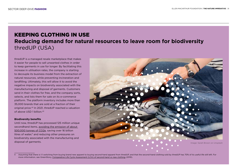# KEEPING CLOTHING IN USE **Reducing demand for natural resources to leave room for biodiversity** thredUP (USA)

thredUP is a managed resale marketplace that makes it easier for people to sell unwanted clothes in order to keep garments in use for longer. By facilitating this increase in utilisation rates, the company is starting to decouple its business model from the extraction of natural resources, while preventing incineration and landfilling. Ultimately, this will allow it to avoid the negative impacts on biodiversity associated with the manufacturing and disposal of garments. Customers send in their clothes for free, and the company sorts, selects, and lists them for sale on its e-commerce platform. The platform inventory includes more than 35,000 brands that are sold at a fraction of their original price.42 In 2021, thredUP reached a valuation of above USD 1 billion.43

## **Biodiversity benefits**

Until now, thredUP has processed 125 million unique secondhand items, [avoiding the emission of about](https://www.thredup.com/resale/)  [500,000 tonnes of CO2e,](https://www.thredup.com/resale/) saving over 16 billion litres of water.<sup>"</sup> and reducing other pressures on biodiversity associated with the manufacturing and disposal of garments.



II Assuming that there is 1:1 switching from buying brand new apparel to buying second-hand apparel from thredUP, and that the second-hand clothing sold by thredUP has 70% of its useful life still left. For more information, see GreenStory, [Comparative Life Cycle Assessment \(LCA\) of second-hand vs new clothing](https://cf-assets-tup.thredup.com/about/pwa/thredUP-Clothing-Lifecycle-Study.pdf) (2019).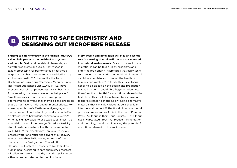B

# SHIFTING TO SAFE CHEMISTRY AND DESIGNING OUT MICROFIBRE RELEASE

**Shifting to safe chemistry in the fashion industry's value chain protects the health of ecosystems and people.** Toxic and persistent chemicals, such as water repellents or dyes currently used in textile processing for performance or aesthetic purposes, can have severe impacts on biodiversity and human health.44 Schemes like the Zero Discharge of Hazardous Chemicals' Manufacturing Restricted Substances List (ZDHC MRSL) have proven successful at preventing toxic substances from entering the value chain in the first place.<sup>45</sup> Simultaneously, innovators are developing alternatives to conventional chemicals and processes that do not have harmful environmental effects. For example, Archroma's Earthcolors dyeing agents are made out of agricultural by-products and offer an alternative to hazardous, conventional dyes.<sup>46</sup> When it is unavoidable to use toxic substances, it is essential to control their usage. To reduce toxicity risk, closed-loop systems like those implemented by TENCEL™ for Lyocell fibres, are able to recycle process water and reuse the solvent at a recovery rate of more than 99%, leaving no trace of the chemical in the final garment.47 In addition to designing out potential impacts to biodiversity and human health, shifting to safe chemistry processes will allow for safe and healthy material cycles to be either reused or returned to the biosphere.

**Fibre design and innovation will play an essential role in ensuring that microfibres are not released into natural environments.** Once in the environment, microfibres can be taken up by organisms and enter the food chain.<sup>48</sup> Microfibres that carry toxic substances on their surface or within their materials can bioaccumulate and threaten the health of humans and wildlife.<sup>49</sup> To tackle this issue, focus needs to be placed on the design and production stages in order to avoid fibre fragmentation and, therefore, the potential for microfibre release in the first place. This could be achieved by increasing fabric resistance to shedding or finding alternative materials that can safely biodegrade if they leak into the environment.50 The Houdini outdoor brand provides one example of this in the use of Polartec's Power Air fabric in their Houdi jackets<sup>51</sup> - this fabric has encapsulated fibres that reduce fragmentation and shedding, therefore minimising the potential for microfibre release into the environment.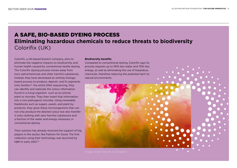# A SAFE, BIO-BASED DYEING PROCESS **Eliminating hazardous chemicals to reduce threats to biodiversity** Colorifix (UK)

Colorifix, a UK-based biotech company, aims to eliminate the negative impacts on biodiversity and human health caused by conventional textile dyeing. The Colorifix dyeing process moves away from toxic petrochemicals and other harmful substances. Instead, they have developed an entirely biologybased process to produce, deposit, and fix pigments onto textiles.52 Via online DNA sequencing, they can identify and replicate the colour information found in a living organism such as an animal, plant or microbe. They then insert that information into a non-pathogenic microbe. Using renewable feedstocks such as sugars, yeasts, and plant byproducts, they grow these microorganisms that can not only produce the desired colour but also transfer it onto clothing with zero harmful substances and a fraction of the water and energy necessary in conventional dyeing.

Their solution has already received the support of big players in the sector, like Fashion for Good. The first collection using their technology was launched by H&M in early 2021.53

## **Biodiversity benefits**

Compared to conventional dyeing, Colorifix says its process requires up to 90% less water and 70% less energy, as well as eliminating the use of hazardous chemicals, therefore reducing the potential harm to natural environments.

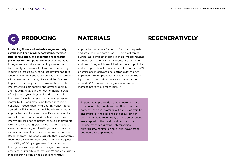

**Producing fibres and materials regeneratively establishes healthy agroecosystems, reverses land degradation, and minimises greenhouse gas emissions and pollution.** Practices that lead to regenerative outcomes can improve on-farm biodiversity and ensure that soils remain healthy, reducing pressure to expand into natural habitats when conventional practices degrade land. Working with conservation charity Rare and Soil & More Impact consultancy, Jintian farm in China started implementing composting and cover cropping, and reducing tillage in their cotton fields in 2018. After just one year, they achieved similar yields to conventional farming while increasing organic matter by 15% and observing three times more beneficial insects than neighbouring conventional operations.54 By improving soil health, regenerative approaches also increase the soil's water retention capacity, reducing demand for finite sources and improving resilience to natural shocks like droughts while also increasing yields.<sup>55</sup> Furthermore, practices aimed at improving soil health go hand in hand with increasing the ability of soils to sequester carbon. Research from Fibershed suggests that regenerative sheep husbandry for wool production can sequester up to 37kg of CO<sub>2</sub> per garment, in contrast to the high emissions produced using conventional practices.56 Similarly, a study from Wrangler suggests that adopting a combination of regenerative

approaches in 1 acre of a cotton field can sequester and store as much carbon as 0.75 acres of forest.<sup>57</sup> Furthermore, implementing regenerative approaches reduces reliance on synthetic inputs like fertilisers and pesticides, which are linked not only to pollution and eutrophication, but also account for around 70% of emissions in conventional cotton cultivation.58 Improved farming practices and reduced synthetic inputs in cotton cultivation are estimated to cut around 50% of greenhouse gas emissions and increase net revenue for farmers <sup>59</sup>

Regenerative production of raw materials for the fashion industry builds soil health and carbon content, increases water quality and biodiversity, and improves the resilience of ecosystems. In order to achieve such goals, cultivation practices are adapted to the local conditions and can include managed grazing, intercropping, agroforestry, minimal or no-tillage, cover crops, and compost applications.

## PRODUCING MATERIALS REGENERATIVELY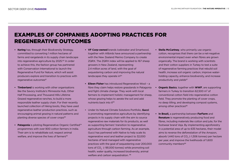# EXAMPLES OF COMPANIES ADOPTING PRACTICES FOR REGENERATIVE OUTCOMES

- **• Kering** has, through their Biodiversity Strategy, committed to converting 1 million hectares of farms and rangelands in its supply chain landscape into regenerative agriculture by 2025.<sup>60</sup> In order to achieve this, the fashion group has partnered with Conservation International to launch the Regenerative Fund for Nature, which will assist producers explore and transition to practices with regenerative outcomes<sup>61</sup>
- **• Timberland** is working with other organisations like the Savory Institute's Minnesota Hub, Other Half Processing, and Thousand Hills Lifetime Grazed regenerative ranches, to build a more responsible leather supply chain. For their recently launched collection of hiking boots, they have used regenerative leather production practices, such as encouraging animal grazing in natural patterns and planting diverse species of cover crops<sup>62</sup>
- **• Patagonia** is piloting Regenerative Organic Certified™ programmes with over 800 cotton farmers in India. Their aim is to rehabilitate soil, respect animal welfare, and improve the lives of farmers<sup>63</sup>
- **• VF Corp-owned** brands Icebreaker and Smartwool, together with Allbirds have announced a partnership with the New Zealand Merino Company to create ZQRX. The ZQRX index will be applied to 167 sheep growers in New Zealand, representing 2.4 million acres of land, with the goal of sequestering carbon and improving the natural landscapes they operate in<sup>64</sup>
- **• Eileen Fisher** has introduced Regenerative Wool a fibre they claim helps restore grasslands in Patagonia and fight climate change. They work with local farmers to implement holistic management for sheep, whose grazing helps to aerate the soil and add nutrients back into it65
- Under its Natural Climate Solutions Portfolio, **Gucci** is promoting regenerative agriculture by identifying projects in its supply chain with the aim to source regenerative raw materials for its products, as well as supporting farmers' transition to regenerative agriculture through carbon farming. As an example, Gucci has partnered with Native to help scale its regenerative wool and leather project to 32,000 hectares of land managed with regenerative practices with the goal of sequestering over 200,000 tons of CO<sub>2</sub> (~181,000 tonnes) while promoting soil health, water quality, increased biodiversity, animal welfare and carbon sequestration. <sup>66</sup>
- **• Stella McCartney**, who primarily use organic cotton, recognises that there can be a net-negative environmental impact even when fibres are grown organically. The brand is working with scientists and their cotton suppliers in Turkey to test a suite of regenerative farming practices that rebuild soil health, increase soil organic carbon, improve waterholding capacity, enhance biodiversity, and increase productivity and yields<sup>67</sup>
- **• Organic Basics**, together with **WWF**, are supporting farmers in Turkey to transition 62,500 m² of conventional cotton field into regenerative cotton field. They promote the planting of cover crops, no deep tilling, and developing compost systems, among other practices<sup>68</sup>
- **• In Brazil,** a partnership between **FarFarm** and **Renature** is regeneratively producing food and fibres, including materials like cotton and jute, for the footwear brand Veja. By implementing agroforestry in a potential area of up to 635 hectares, their model aims to reverse the deforestation of the Amazon, absorb 1,440 tons of  $CO<sub>2</sub>$  (~1,306 tonnes) per hectare per year, and improve the livelihoods of 1,600 community members<sup>69</sup>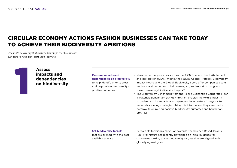# CIRCULAR ECONOMY ACTIONS FASHION BUSINESSES CAN TAKE TODAY TO ACHIEVE THEIR BIODIVERSITY AMBITIONS

*The table below highlights three key steps that businesses can take to help kick-start their journey:*



## **Assess impacts and dependencies on biodiversity**

**Measure impacts and dependencies on biodiversity** to help identify priority areas and help deliver biodiversitypositive outcomes

- **•** Measurement approaches such as the [IUCN Species Threat Abatement](https://www.iucn.org/regions/washington-dc-office/our-work/species-threat-abatement-and-recovery-star-metric)  [and Restoration \(STAR\) metric,](https://www.iucn.org/regions/washington-dc-office/our-work/species-threat-abatement-and-recovery-star-metric) the [Natural Capital Protocol](https://capitalscoalition.org/capitals-approach/natural-capital-protocol/?fwp_filter_tabs=guide_supplement), [Biodiversity](https://www.cisl.cam.ac.uk/resources/natural-resource-security-publications/measuring-business-impacts-on-nature)  [Impact Metric,](https://www.cisl.cam.ac.uk/resources/natural-resource-security-publications/measuring-business-impacts-on-nature) and the [Global Biodiversity Score](http://www.mission-economie-biodiversite.com/wp-content/uploads/2019/05/N14-TRAVAUX-DU-CLUB-B4B-GBS-UK-WEB.pdf) offer companies useful methods and resources to help assess, act, and report on progress towards meeting biodiversity targets<sup>70</sup>
- **•** [The Biodiversity Benchmark f](https://mci.textileexchange.org/biodiversity/)rom the Textile Exchange's Corporate Fiber & Materials Benchmark (CFMB) Program enables the textile industry to understand its impacts and dependencies on nature in regards to materials sourcing strategies. Using this information, they can chart a pathway to delivering positive biodiversity outcomes and benchmark progress

**Set biodiversity targets** that are aligned with the best available science

**•** Set targets for biodiversity: For example, the [Science-Based Targets](https://sciencebasedtargetsnetwork.org/wp-content/uploads/2020/11/Science-Based-Targets-for-Nature-Initial-Guidance-for-Business.pdf)  [\(SBT\) for Nature](https://sciencebasedtargetsnetwork.org/wp-content/uploads/2020/11/Science-Based-Targets-for-Nature-Initial-Guidance-for-Business.pdf) has recently developed an initial [guidance](https://sciencebasedtargetsnetwork.org/wp-content/uploads/2020/11/Science-Based-Targets-for-Nature-Initial-Guidance-for-Business.pdf) for companies looking to set biodiversity targets that are aligned with globally agreed goals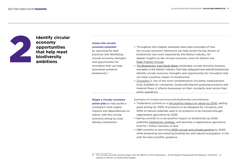

## **Identify circular economy opportunities that help meet biodiversity ambitions**

## **Assess the circular economy potential** by searching for best practices and identifying circular economy strengths and opportunities for innovation that can help businesses preserve biodiversity III

- **•** Throughout this chapter, examples have been provided of how the circular economy framework can help tackle the key drivers of biodiversity loss most impacted by the fashion industry, for deeper insights on the circular economy vision for fashion see [Make Fashion Circular](https://www.ellenmacarthurfoundation.org/our-work/activities/make-fashion-circular)
- **•** [The Biodiversity Case Study library](https://emf.org/topics/biodiversity/circular-examples) showcases circular economy business examples in the fashion industry that help safeguard and rebuild biodiversity Identify circular economy strengths and opportunities for innovation that can have a positive impact on biodiversity:
- **•** [Circulytics](https://www.ellenmacarthurfoundation.org/resources/apply/circulytics-measuring-circularity) is one of the most comprehensive circularity measurement tools available for companies. Going well beyond assessing products and material flows, it informs businesses on their circularity level across their entire operations

## **Shape a circular economy**

**action plan** to help tackle a company's most urgent impacts and dependencies on nature, with the circular economy acting as a key delivery mechanism

*Examples of circular economy and biodiversity commitments:*

- **•** Timberland commits to a [net-positive impact on nature by 2030](https://www.environmentalleader.com/2020/09/timberland-net-positive-products-2030/), setting goals aiming for 100% of products to be designed for circularity, and 100% of natural materials used in its products to be sourced through regenerative agriculture by 2030
- **•** Kering commits to a net-positive impact on biodiversity by 2025, publishes [biodiversity strategy,](https://www.kering.com/en/news/kering-publishes-biodiversity-strategy-and-sets-biodiversity-targets) and launches a regenerative agriculture fund for 1 million hectares of land
- **•** H&M commits to becomin[g 100% circular and climate positive](https://hmgroup.com/sustainability/circular-and-climate-positive/biodiversity/) by 2040, while protecting and restoring biodiversity and natural ecosystems, in line with the best scientific quidance

III The circular economy directly aligns with the SBTN's Action framework – Avoid; Reduce; Regenerate and Restore; Transform – in helping to deliver on biodiversity targets.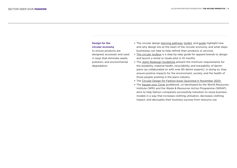## **Design for the circular economy**

to ensure products are designed, accessed, and used in ways that eliminate waste, pollution, and environmental degradation

- **•** The circular design [learning pathway](https://www.ellenmacarthurfoundation.org/explore/circular-design), [toolkit,](https://www.ellenmacarthurfoundation.org/resources/learn/circular-design-toolkit) and [guide](https://www.circulardesignguide.com/) highlight how and why design sits at the heart of the circular economy, and what steps businesses can take to help rethink their products or services
- **•** [The circular toolbox](https://www.thecirculartoolbox.com/) is a step-by-step guide for apparel brands to design and launch a rental or resale pilot in 10 months
- **•** The [Jeans Redesign Guidelines](https://ellenmacarthurfoundation.org/the-jeans-redesign) present the minimum requirements for the durability, material health, recyclability, and traceability of denim jeans (as collaborated on with over 80 denim experts). In doing so, they ensure positive impacts for the environment, society, and the health of those people working in the jeans industry
- **•** The Circular Design for Fashion book (launched in November 2021)
- **•** The [Square your Circle](https://www.wri.org/research/square-your-circle-environmental-impact-reuse-model?utm_source=twitter&utm_medium=forestlegality&utm_campaign=socialmedia&utm_term=6df075a3-4767-49e1-a06f-770f526b0d23) guidebook, co-developed by the World Resources Institute (WRI) and the Waste & Resources Action Programme (WRAP), aims to help fashion companies successfully transition to reuse business models in a way that increases clothing utilisation, decreases clothing impact, and decouples their business success from resource use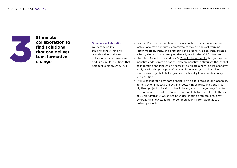

**Stimulate collaboration to find solutions that can deliver transformative change**

## **Stimulate collaboration**

by identifying key stakeholders within and outside value chains to collaborate and innovate with, and find circular solutions that help tackle biodiversity loss

- **•** [Fashion Pact](https://thefashionpact.org/?lang=en#:~:text=The%2520Fashion%2520Pact%2520is%2520a,restoring%2520biodiversity%2520and%2520protecting%2520the) is an example of a global coalition of companies in the fashion and textile industry committed to stopping global warming, restoring biodiversity, and protecting the oceans. A biodiversity strategy is being shaped in the next year that aligns with the SBT for Nature
- **•** The Ellen MacArthur Foundation's [Make Fashion Circular](https://www.ellenmacarthurfoundation.org/our-work/activities/make-fashion-circular) brings together industry leaders from across the fashion industry to stimulate the level of collaboration and innovation necessary to create a new textiles economy. It aligns with the principles of the circular economy to help tackle the root causes of global challenges like biodiversity loss, climate change, and pollution
- **•** [PVH](https://www.pvh.com/-/media/Files/pvh/responsibility/PVH-CR-Report-2019.pdf) is collaborating by participating in two pilots focused on traceability in the fashion industry: the Organic Cotton Traceability Pilot, the first digitised project of its kind to track the organic cotton journey from farm to retail garment; and the Connect Fashion Initiative, which tests the use of EON's CircularID, which has been designed to promote circularity by creating a new standard for communicating information about fashion products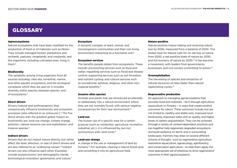## GLOSSARY

## Agroecosystems

Natural ecosystems that have been modified for the production of food or of materials such as fibres<sup>1</sup> They include managed forests, plantations and orchards, pastures, rangelands, and croplands, and the organisms, including cultivated ones, living in them $<sup>2</sup>$ </sup>

## **Biodiversity**

The variability among living organisms from all sources including, inter alia, terrestrial, marine, and other aquatic ecosystems, and the ecological complexes which they are part of. It includes diversity within species, between species, and of ecosystems.3

## Direct drivers

Drivers (natural and anthropogenic) that unequivocally influence biodiversity and ecosystem processes (also referred to as 'pressures').4 The five direct drivers with the greatest global impact on biodiversity are: land-use change, climate change, pollution, natural resource use and exploitation, and invasive species.5

## Indirect drivers

Drivers that do not impact nature directly, but rather affect the level, direction, or rate of direct drivers and are also referred to as 'underlying causes'.<sup>6</sup> Indirect drivers can also influence each other. Examples include socioeconomic and demographic trends, technological innovation, governance, and culture.7

## Ecosystem

A dynamic complex of plant, animal, and microorganism communities and their non-living environment interacting as a functional unit.<sup>8</sup>

## Ecosystem services

The benefits people obtain from ecosystems. These include: provisioning services such as food and water; regulating services such as flood and disease control; supporting services such as soil formation and nutrient cycling; and cultural services such as recreational, spiritual, religious, and other nonmaterial benefits<sup>9</sup>

## Invasive alien species

Animals and plants that are introduced accidentally or deliberately into a natural environment where they are not normally found, with serious negative consequences for their new environment.10

## Land use

The human use of a specific area for a certain purpose (such as residential, agriculture, recreation, industrial, etc.). It is influenced by, but not synonymous with, land cover. $11$ 

## Land-use change

A change in the use or management of land by humans.12 For example, clearing a natural forest area and converting it into an agricultural field.

## Nature-positive

Nature-positive means halting and reversing nature loss by 2030, measured from a baseline of 2020. This Global Goal for Nature calls for no net loss of nature from 2020, a net-positive state of nature by 2030, and full recovery of nature by 2050.<sup>13</sup> It has become a movement, with leaders from governments, businesses, and civil society committing to action.14

## **Overexploitation**

The harvesting of species and extraction of natural resources at rates faster than natural replenishing cycles.15

## Regenerative production

An approach to managing agroecosystems that provides food and materials – be it through agriculture, aquaculture, or forestry – in ways that create positive outcomes for nature. These outcomes include, but are not limited to, healthy and stable soils, improved local biodiversity, improved water and air quality, and higher levels of carbon sequestration. They can be achieved through a variety of context-dependent practices and can together help regenerate degraded ecosystems and build resilience on farms and in surrounding landscapes. Farmers may draw on several different schools of thought –such as regenerative agriculture, restorative aquaculture, agroecology, agroforestry, and conservation agriculture – to help them apply the most appropriate set of practices to drive regenerative outcomes in their agroecosystems.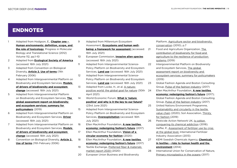# ENDNOTES

- 1 Adapted from Hodgson, E., **[Chapter one](https://www.sciencedirect.com/science/article/pii/B9780124158139000015)  [Human environments: definition, scope, and](https://www.sciencedirect.com/science/article/pii/B9780124158139000015)  [the role of toxicology](https://www.sciencedirect.com/science/article/pii/B9780124158139000015)**, Progress in Molecular Biology and Translational Science (2012) Volume 112, pp.1–10
- 2 Adapted from **[Ecological Society of America](https://esajournals.onlinelibrary.wiley.com/doi/toc/10.1002/(ISSN)2150-8925.agroecosystems)** (accessed: 16th July 2021)
- 3 Adapted from Convention on Biological Diversity, **[Article 2. Use of terms](https://www.cbd.int/convention/articles/?a=cbd-02)** (11th February 2006)
- 4 Adapted from Intergovernmental Platform on Biodiversity and Ecosystem Services, **[Models](https://ipbes.net/models-drivers-biodiversity-ecosystem-change)  [of drivers of biodiversity and ecosystem](https://ipbes.net/models-drivers-biodiversity-ecosystem-change)  [change](https://ipbes.net/models-drivers-biodiversity-ecosystem-change)** (accessed: 16th July 2021)
- 5 Adapted from Intergovernmental Platform on Biodiversity and Ecosystem Services, **[The](https://ipbes.net/sites/default/files/2020-02/ipbes_global_assessment_report_summary_for_policymakers_en.pdf)  [global assessment report on biodiversity](https://ipbes.net/sites/default/files/2020-02/ipbes_global_assessment_report_summary_for_policymakers_en.pdf)  [and ecosystem services: summary for](https://ipbes.net/sites/default/files/2020-02/ipbes_global_assessment_report_summary_for_policymakers_en.pdf)  [policymakers](https://ipbes.net/sites/default/files/2020-02/ipbes_global_assessment_report_summary_for_policymakers_en.pdf)** (2019)
- 6 Adapted from Intergovernmental Platform on Biodiversity and Ecosystem Services, **[Driver](https://ipbes.net/glossary/driver)** (accessed: 16th July 2021)
- 7 Adapted from Intergovernmental Platform on Biodiversity and Ecosystem Services, **[Models](https://ipbes.net/models-drivers-biodiversity-ecosystem-change)  [of drivers of biodiversity and ecosystem](https://ipbes.net/models-drivers-biodiversity-ecosystem-change)  [change](https://ipbes.net/models-drivers-biodiversity-ecosystem-change)** (accessed: 16th July 2021)
- 8 Convention on Biological Diversity, **[Article 2.](https://www.cbd.int/convention/articles/?a=cbd-02)  [Use of terms](https://www.cbd.int/convention/articles/?a=cbd-02)** (11th February 2006)
- 9 Adapted from Millennium Ecosystem Assessment, **[Ecosystems and human well](https://www.millenniumassessment.org/en/Framework.html#download)[being: a framework for assessment](https://www.millenniumassessment.org/en/Framework.html#download)** (accessed: 16th July 2021)
- 10 European Commission, **[Invasive alien species](https://ec.europa.eu/environment/nature/invasivealien/index_en.htm)** (accessed: 16th July 2021)
- 11 Adapted from Intergovernmental Science-Policy Platform on Biodiversity and Ecosystem Services, **[Land use](https://ipbes.net/glossary/land-use)** (accessed: 16th July 2021)
- 12 Adapted from Intergovernmental Science-Policy Platform on Biodiversity and Ecosystem Services, **[Land use](https://ipbes.net/glossary/land-use)** (accessed: 16th July 2021)
- 13 Adapted from Locke, H., et al. [A nature](https://f.hubspotusercontent20.net/hubfs/4783129/Nature%20Positive%20The%20Global%20Goal%20for%20Nature%20paper.pdf)[positive world: the global goal for nature](https://f.hubspotusercontent20.net/hubfs/4783129/Nature%20Positive%20The%20Global%20Goal%20for%20Nature%20paper.pdf) (30th April 2021)
- 14 World Economic Forum, **[What is 'nature](https://www.weforum.org/agenda/2021/06/what-is-nature-positive-and-why-is-it-the-key-to-our-future/)  [positive' and why is it the key to our future?](https://www.weforum.org/agenda/2021/06/what-is-nature-positive-and-why-is-it-the-key-to-our-future/)** (23rd June 2021)
- 15 Adapted from Intergovernmental Science-Policy Platform on Biodiversity and Ecosystem Services, **[Overexploitation](https://ipbes.net/glossary/overexploitation)** (accessed: 16th July 2021)
- 16 Ellen MacArthur Foundation, **[A new textiles](https://emf.thirdlight.com/link/2axvc7eob8zx-za4ule/@/preview/1?o)  [economy: redesigning fashion's future](https://emf.thirdlight.com/link/2axvc7eob8zx-za4ule/@/preview/1?o)** (2017) 17 Ellen MacArthur Foundation, **[Vision of a](https://emf.thirdlight.com/link/nbwff6ugh01m-y15u3p/@/preview/1?o)** 
	- **[circular economy for fashion](https://emf.thirdlight.com/link/nbwff6ugh01m-y15u3p/@/preview/1?o)** (2020)
- 18 Ellen MacArthur Foundation, **[A new textiles](https://emf.thirdlight.com/link/2axvc7eob8zx-za4ule/@/preview/1?o)  [economy: redesigning fashion's future](https://emf.thirdlight.com/link/2axvc7eob8zx-za4ule/@/preview/1?o)** (2017)
- 19 Textile Exchange, [Preferred fiber & materials](https://textileexchange.org/wp-content/uploads/2020/06/Textile-Exchange_Preferred-Fiber-Material-Market-Report_2020.pdf)  [market report 2020](https://textileexchange.org/wp-content/uploads/2020/06/Textile-Exchange_Preferred-Fiber-Material-Market-Report_2020.pdf) (2020)
- 20 European Union Business and Biodiversity

Platform, [Agriculture sector and biodiversity](https://ec.europa.eu/environment/archives/business/assets/pdf/sectors/FINAL_Agriculture.pdf)  [conservation](https://ec.europa.eu/environment/archives/business/assets/pdf/sectors/FINAL_Agriculture.pdf) (2010), p.7

- 21 Food and Agriculture Organization, [The](http://www.fao.org/3/ca5008en/ca5008en.pdf)  [contribution of biodiversity for food and](http://www.fao.org/3/ca5008en/ca5008en.pdf)  [agriculture to the resilience of production](http://www.fao.org/3/ca5008en/ca5008en.pdf)  [systems \(](http://www.fao.org/3/ca5008en/ca5008en.pdf)2019)
- 22 Intergovernmental Platform on Biodiversity and Ecosystem Services, [The global](https://ipbes.net/sites/default/files/2020-02/ipbes_global_assessment_report_summary_for_policymakers_en.pdf)  [assessment report on biodiversity and](https://ipbes.net/sites/default/files/2020-02/ipbes_global_assessment_report_summary_for_policymakers_en.pdf)  [ecosystem services: summary for policymakers](https://ipbes.net/sites/default/files/2020-02/ipbes_global_assessment_report_summary_for_policymakers_en.pdf)  (2019)
- 23 Global Fashion Agenda and Boston Consulting Group, [Pulse of the fashion industry](https://www.globalfashionagenda.com/download/10958) (2017)
- 24 Ellen MacArthur Foundation, **[A new textiles](https://emf.thirdlight.com/link/2axvc7eob8zx-za4ule/@/preview/1?o)  [economy: redesigning fashion's future](https://emf.thirdlight.com/link/2axvc7eob8zx-za4ule/@/preview/1?o)** (2017); Global Fashion Agenda and Boston Consulting Group, [Pulse of the fashion industry](https://www.globalfashionagenda.com/download/10958) (2017)
- 25 United Nations Environment Programme, [Sustainability and circularity in the textile](https://www.oneplanetnetwork.org/sites/default/files/unep_sustainability_and_circularity_in_the_textile_value_chain.pdf)  [value chain](https://www.oneplanetnetwork.org/sites/default/files/unep_sustainability_and_circularity_in_the_textile_value_chain.pdf) (2020); Soil Association, [Thirsty](https://www.soilassociation.org/media/19674/thirsty-for-fashion-soil-association-report.pdf)  [for fashion \(](https://www.soilassociation.org/media/19674/thirsty-for-fashion-soil-association-report.pdf)2019)
- 26 Pesticide Action Network UK, [Is cotton](https://issuu.com/pan-uk/docs/cottons_chemical_addiction_-_update)  [conquering its chemical addiction](https://issuu.com/pan-uk/docs/cottons_chemical_addiction_-_update) (2018); Heffer, P., [Assessment of fertilizer use by crop](https://www.fertilizer.org/images/Library_Downloads/AgCom.13.39%20-%20FUBC%20assessment%202010.pdf)  [at the global level,](https://www.fertilizer.org/images/Library_Downloads/AgCom.13.39%20-%20FUBC%20assessment%202010.pdf) International Fertilizer Industry Association (2013)
- 27 KEMI Swedish Chemicals Agency, **[Chemicals](https://www.kemi.se/download/18.6df1d3df171c243fb23a98f3/1591454110491/rapport-6-14-chemicals-in-textiles.pdf)  [in textiles – risks to human health and the](https://www.kemi.se/download/18.6df1d3df171c243fb23a98f3/1591454110491/rapport-6-14-chemicals-in-textiles.pdf)  [environment](https://www.kemi.se/download/18.6df1d3df171c243fb23a98f3/1591454110491/rapport-6-14-chemicals-in-textiles.pdf)** (2014)
- 28 International Union for Conservation of Nature, [Primary microplastics in the oceans](https://portals.iucn.org/library/sites/library/files/documents/2017-002-En.pdf) (2017)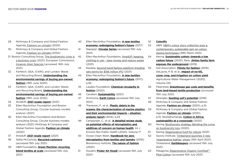- 29 McKinsey & Company and Global Fashion Agenda, [Fashion on climate](https://www.mckinsey.com/~/media/McKinsey/Industries/Retail/Our%20Insights/Fashion%20on%20climate/Fashion-on-climate-Full-report.pdf) (2020)
- 30 McKinsey & Company and Global Fashion Agenda, [Fashion on climate](https://www.mckinsey.com/~/media/McKinsey/Industries/Retail/Our%20Insights/Fashion%20on%20climate/Fashion-on-climate-Full-report.pdf) (2020)
- 31 Boston Consulting Group, [The biodiversity crisis is](https://web-assets.bcg.com/fb/5e/74af5531468e9c1d4dd5c9fc0bd7/bcg-the-biodiversity-crisis-is-a-business-crisis-mar-2021-rr.pdf)  [a business crisis](https://web-assets.bcg.com/fb/5e/74af5531468e9c1d4dd5c9fc0bd7/bcg-the-biodiversity-crisis-is-a-business-crisis-mar-2021-rr.pdf) (2021); European Commission, [Invasive Alien Species](https://ec.europa.eu/environment/nature/invasivealien/index_en.htm) (accessed: 16th July 2021)
- 32 Farfetch, QSA, ICARO, and London Waste and Recycling Board, **[Understanding the](https://cdn-static.farfetch-contents.com/content/UP/PRODUCTION/LANDING-PAGES/SUSTAINABILITY-CALC/Understanding%20the%20Environmental%20Savings%20of%20Pre-owned_Farfetch%20Report%202020.pdf)  [environmental savings of buying pre-owned](https://cdn-static.farfetch-contents.com/content/UP/PRODUCTION/LANDING-PAGES/SUSTAINABILITY-CALC/Understanding%20the%20Environmental%20Savings%20of%20Pre-owned_Farfetch%20Report%202020.pdf)  [fashion](https://cdn-static.farfetch-contents.com/content/UP/PRODUCTION/LANDING-PAGES/SUSTAINABILITY-CALC/Understanding%20the%20Environmental%20Savings%20of%20Pre-owned_Farfetch%20Report%202020.pdf)** (18th June 2020)
- 33 Farfetch, QSA, ICARO, and London Waste and Recycling Board, **[Understanding the](https://cdn-static.farfetch-contents.com/content/UP/PRODUCTION/LANDING-PAGES/SUSTAINABILITY-CALC/Understanding%20the%20Environmental%20Savings%20of%20Pre-owned_Farfetch%20Report%202020.pdf)  [environmental savings of buying pre-owned](https://cdn-static.farfetch-contents.com/content/UP/PRODUCTION/LANDING-PAGES/SUSTAINABILITY-CALC/Understanding%20the%20Environmental%20Savings%20of%20Pre-owned_Farfetch%20Report%202020.pdf)  [fashion](https://cdn-static.farfetch-contents.com/content/UP/PRODUCTION/LANDING-PAGES/SUSTAINABILITY-CALC/Understanding%20the%20Environmental%20Savings%20of%20Pre-owned_Farfetch%20Report%202020.pdf)** (18th June 2020)
- 34 thredUP, **[2021 resale report](https://www.thredup.com/resale/)** (2021)
- 35 Ellen MacArthur Foundation and Boston Consulting Group, Circular business models analysis (2021)
- 36 Ellen MacArthur Foundation and Boston Consulting Group, Circular business models analysis (2021); McKinsey & Company and Global Fashion Agenda, **[Fashion on climate](https://www.mckinsey.com/~/media/McKinsey/Industries/Retail/Our%2520Insights/Fashion%2520on%2520climate/Fashion-on-climate-Full-report.pdf)** (2020)
- 37 thredUP, **[2021 resale report](https://www.thredup.com/resale/)** (2021)
- 38 Stella McCartney, **[Recycled cashmere](https://www.stellamccartney.com/gb/en/sustainability/recycled-cashmere.html#:~:text=Cashmere)** (accessed 15th July 2021)
- 39 H&M Foundation, **[Green Machine: recycling](https://hmfoundation.com/project/recycling-the-green-machine/)  [blend textiles at scale](https://hmfoundation.com/project/recycling-the-green-machine/)** (accessed 15th July 2021)
- 40 Ellen MacArthur Foundation, **[A new textiles](https://www.ellenmacarthurfoundation.org/assets/downloads/publications/A-New-Textiles-Economy_Full-Report.pdf)** 
	- **[economy: redesigning fashion's future](https://www.ellenmacarthurfoundation.org/assets/downloads/publications/A-New-Textiles-Economy_Full-Report.pdf)** (2017)
- 41 Napapijri, **[Circular Series](https://www.napapijri.co.uk/circularseries.html)** (accessed 15th July 2021)
- 42 Ellen MacArthur Foundation, [thredUP: keeping](https://www.ellenmacarthurfoundation.org/case-studies/keeping-clothing-in-use-save-money-and-reduce-waste)  [clothing in use – save money and reduce waste](https://www.ellenmacarthurfoundation.org/case-studies/keeping-clothing-in-use-save-money-and-reduce-waste) (2021)
- 43 Nasdaq, [Second hand fashion platform thredUp](https://www.nasdaq.com/articles/second-hand-fashion-platform-thredup-sets-terms-for-%24156-million-ipo-2021-03-17)  [sets terms for \\$156 million IPO](https://www.nasdaq.com/articles/second-hand-fashion-platform-thredup-sets-terms-for-%24156-million-ipo-2021-03-17) (2021)
- 44 Ellen MacArthur Foundation, **[A new textiles](https://www.ellenmacarthurfoundation.org/assets/downloads/publications/A-New-Textiles-Economy_Full-Report.pdf)  [economy: redesigning fashion's future](https://www.ellenmacarthurfoundation.org/assets/downloads/publications/A-New-Textiles-Economy_Full-Report.pdf)** (2017), p.56
- 45 Laudes Foundation, **[Chemical circularity in](https://www.laudesfoundation.org/en/resources/2020/05/chemical-circularity-digital.pdf)  [fashion](https://www.laudesfoundation.org/en/resources/2020/05/chemical-circularity-digital.pdf)** (2020)
- 46 Candiani, **[Sustainability](https://candianidenim.store/en/sustainability/)** (2021)
- 47 Archroma, **[Earth Colors](https://www.archroma.com/innovations/earth-colors-by-archroma)** (accessed 15th July 2021)
- 48 Thevenon, F., et al., **[Plastic debris in the](https://portals.iucn.org/library/sites/library/files/documents/2014-067.pdf)  [oceans: the characterization of marine plastics](https://portals.iucn.org/library/sites/library/files/documents/2014-067.pdf)  [and their environmental impacts – situation](https://portals.iucn.org/library/sites/library/files/documents/2014-067.pdf)  [analysis report](https://portals.iucn.org/library/sites/library/files/documents/2014-067.pdf)** (2014), p.43
- 49 Campanale, C., et al., **[A detailed review study](https://www.ncbi.nlm.nih.gov/pmc/articles/PMC7068600/)  [on potential effects of microplastics and](https://www.ncbi.nlm.nih.gov/pmc/articles/PMC7068600/)  [additives of concern on human health](https://www.ncbi.nlm.nih.gov/pmc/articles/PMC7068600/)**, Int J Environ Res Public Health (2020), Volume 17
- 50 Ocean Clean Wash, **[Handbook for zero](https://www.oceancleanwash.org/wp-content/uploads/2019/08/Handbook-for-zero-microplastics-from-textiles-and-laundry-developed.pdf)  [microplastics from textiles and laundry](https://www.oceancleanwash.org/wp-content/uploads/2019/08/Handbook-for-zero-microplastics-from-textiles-and-laundry-developed.pdf)** (2019); Biomimicry Institute, **[The nature of fashion](https://24rdmo160xr11sgco31bxj30-wpengine.netdna-ssl.com/wp-content/uploads/2020/08/TheNatureofFashion.pdf)** (2020)
- 51 Houdini, **[Power Air Houdi](https://houdinisportswear.com/en-eu/highlights/power-air)** (accessed 15th July 2021)
- 52 **Colorifix**
- 53 H&M, [H&M's colour story collection puts a](https://about.hm.com/news/general-news-2021/h-m-s-colour-story-collection-puts-a-contemporary--sustainable-s.html)  [contemporary, sustainable spin on colour](https://about.hm.com/news/general-news-2021/h-m-s-colour-story-collection-puts-a-contemporary--sustainable-s.html)  [dyeing techniques](https://about.hm.com/news/general-news-2021/h-m-s-colour-story-collection-puts-a-contemporary--sustainable-s.html) (29th March 2021)
- 54 Kering, **[Sustainable cotton: towards a low](https://keringcorporate.dam.kering.com/m/2bd99fcd181aa242/original/Final-Kering-Report-2019-Sustainable-Cotton-Towards-a-low-carbon-future.pdf)  [carbon future](https://keringcorporate.dam.kering.com/m/2bd99fcd181aa242/original/Final-Kering-Report-2019-Sustainable-Cotton-Towards-a-low-carbon-future.pdf)** (2020); Rare, **[Jintian family farm](https://rare.org/story/jintian-family-farm-exposes-the-underground/)  [exposes the underground](https://rare.org/story/jintian-family-farm-exposes-the-underground/)** (2019)
- 55 Soil Association, **[Thirsty for fashion](https://www.soilassociation.org/media/19674/thirsty-for-fashion-soil-association-report.pdf)** (2019); DeLaune, P. B, et al., **[Impact of no-till,](https://www.sciencedirect.com/science/article/pii/S037837741931858X)  [cover crop, and irrigation on cotton yield](https://www.sciencedirect.com/science/article/pii/S037837741931858X)**, Agricultural Water Management (2020), Volume 232
- 56 Fibershed, **[Greenhouse gas costs and benefits](http://fibershed.org/wp-content/uploads/2016/10/LCA-wool-garment.pdf)  [from land-based textile production](http://fibershed.org/wp-content/uploads/2016/10/LCA-wool-garment.pdf)** (accessed 15th July 2021)
- 57 Wrangler, **[Seeding soil's potential](https://kontoorbrands.app.box.com/s/v6r76pu7ej5bjszc46u6ipu2re8qi5wk)** (2018)
- 58 McKinsey & Company and Global Fashion Agenda, **[Fashion on climate](https://www.mckinsey.com/~/media/McKinsey/Industries/Retail/Our%2520Insights/Fashion%2520on%2520climate/Fashion-on-climate-Full-report.pdf)** (2020), p.10
- 59 McKinsey & Company and Global Fashion Agenda, **[Fashion on climate](https://www.mckinsey.com/~/media/McKinsey/Industries/Retail/Our%2520Insights/Fashion%2520on%2520climate/Fashion-on-climate-Full-report.pdf)** (2020), p.13; TextileExchange, **[Cotton in Africa:](https://store.textileexchange.org/wp-content/uploads/woocommerce_uploads/2020/06/Cotton-in-Africa-Sustainability-at-a-Crossroads-White-Paper_final-2020611_ref-corrected-emh8hp.pdf)  [sustainability at a crossroads](https://store.textileexchange.org/wp-content/uploads/woocommerce_uploads/2020/06/Cotton-in-Africa-Sustainability-at-a-Crossroads-White-Paper_final-2020611_ref-corrected-emh8hp.pdf)** (2020)
- 60 Kering, [Biodiversity strategy: Bending the curve](https://keringcorporate.dam.kering.com/m/6b254da158b2d217/original/Kering-Biodiversity-Strategy.pdf)  [on biodiversity loss](https://keringcorporate.dam.kering.com/m/6b254da158b2d217/original/Kering-Biodiversity-Strategy.pdf) (2020)
- 61 Kering, [Regenerative fund for nature](https://www.kering.com/en/sustainability/safeguarding-the-planet/regenerative-fund-for-nature/) (2021)
- 62 Savory Institute, [Timberland launches 3 new](https://savory.global/timberland-regenerative-leather/)  ['regenerative leather' shoes](https://savory.global/timberland-regenerative-leather/) (15th April 2021); Timberland, **[Earthkeepers](https://www.timberland.es/shop/es/tbl-es/earthkeepers)** (accessed 15th July 2021)
- 63 Patagonia, [Regenerative Organic Certified™](https://eu.patagonia.com/gb/en/our-footprint/regenerative-organic-certification-pilot-cotton.html)  [Pilot Cotton](https://eu.patagonia.com/gb/en/our-footprint/regenerative-organic-certification-pilot-cotton.html) (accessed 15th July 2021)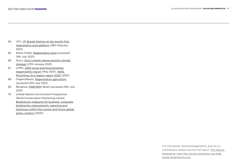- 64 VFC, [VF Brands Partner on the world's first](https://www.vfc.com/news/feature-story/72675/vf-brands-partner-on-the-worlds-first-regenerative-wool-platform)  [regenerative wool platform](https://www.vfc.com/news/feature-story/72675/vf-brands-partner-on-the-worlds-first-regenerative-wool-platform) (18th February 2021)
- 65 Eileen Fisher, [Regenerative wool](https://www.eileenfisher.com/regenerative-wool?country=FR¤cy=EUR) (accessed 15th July 2021)
- 66 Gucci, [Gucci unveils nature-positive climate](https://equilibrium.gucci.com/wp-content/uploads/2021/01/GUCCI_PressRelease_NCSP_FINAL_embargoed_equilibrium.com_.pdf)  [strategy](https://equilibrium.gucci.com/wp-content/uploads/2021/01/GUCCI_PressRelease_NCSP_FINAL_embargoed_equilibrium.com_.pdf) (27th January 2021)
- 67 LVMH, [2020 social and environmental](https://r.lvmh-static.com/uploads/2021/05/en_lvmh_reng20.pdf)  [responsibility report](https://r.lvmh-static.com/uploads/2021/05/en_lvmh_reng20.pdf) (May 2021), [Stella](https://www.stellamccartney.com/on/demandware.static/-/Library-Sites-StellaMcCartneySharedLibrary/default/v10fa54905bdecf9d53f57900f8000b97231cfce6/report/EcoImpact_2020.pdf)  [McCartney, Eco impact report 2020](https://www.stellamccartney.com/on/demandware.static/-/Library-Sites-StellaMcCartneySharedLibrary/default/v10fa54905bdecf9d53f57900f8000b97231cfce6/report/EcoImpact_2020.pdf) (2021)
- 68 OrganicBasics, [Regenerative agriculture](https://regenerative.organicbasics.com/)  (accessed 15th July 2021)
- 69 Renature, [FARFARM](https://www.renature.co/projects/agroforestry-brazil-para/), Brazil (accessed 15th July 2021)
- 70 United Nations Environment Programme World Conservation Monitoring Centre, [Biodiversity measures for business: corporate](https://www.unep-wcmc.org/system/comfy/cms/files/files/000/001/843/original/Working_MASTER_AligningMeasures_PolicyReport_August2020_d06.pdf)  [biodiversity measurement, reporting and](https://www.unep-wcmc.org/system/comfy/cms/files/files/000/001/843/original/Working_MASTER_AligningMeasures_PolicyReport_August2020_d06.pdf)  [disclosure within the current and future global](https://www.unep-wcmc.org/system/comfy/cms/files/files/000/001/843/original/Working_MASTER_AligningMeasures_PolicyReport_August2020_d06.pdf)  [policy context \(](https://www.unep-wcmc.org/system/comfy/cms/files/files/000/001/843/original/Working_MASTER_AligningMeasures_PolicyReport_August2020_d06.pdf)2020)

For Disclaimer, Acknowledgements, and list of contributors please see the full report [The Nature](https://emf.thirdlight.com/link/bqgxl2mlprld-v7i2m6/@/preview/1?o)  [Imperative: How the circular economy can help](https://emf.thirdlight.com/link/bqgxl2mlprld-v7i2m6/@/preview/1?o)  [tackle biodiversity loss](https://emf.thirdlight.com/link/bqgxl2mlprld-v7i2m6/@/preview/1?o)